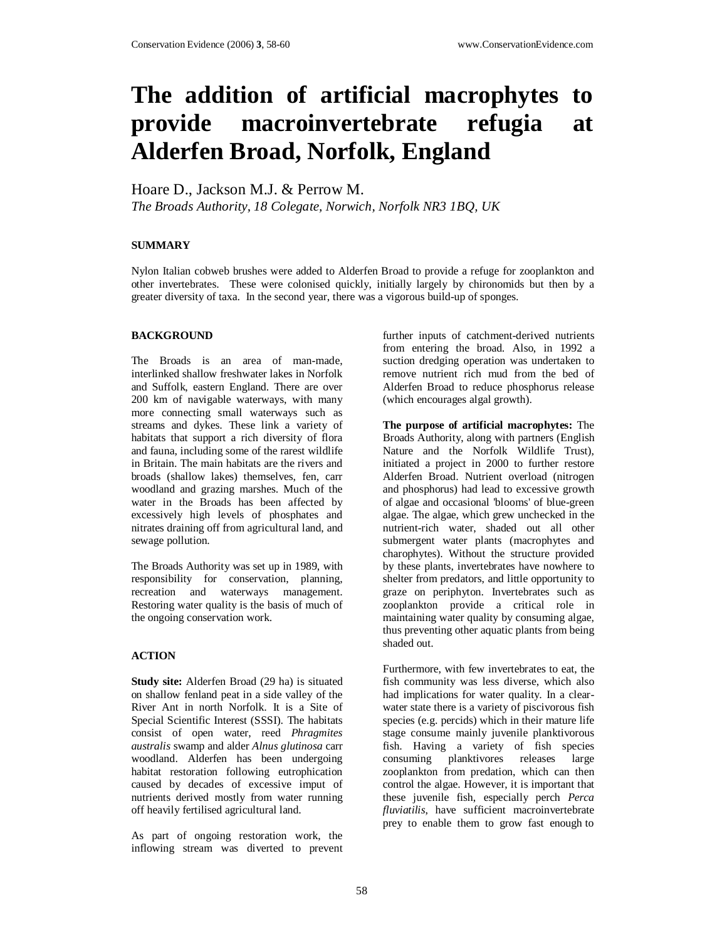# **The addition of artificial macrophytes to provide macroinvertebrate refugia at Alderfen Broad, Norfolk, England**

Hoare D., Jackson M.J. & Perrow M.

*The Broads Authority, 18 Colegate, Norwich, Norfolk NR3 1BQ, UK* 

## **SUMMARY**

Nylon Italian cobweb brushes were added to Alderfen Broad to provide a refuge for zooplankton and other invertebrates. These were colonised quickly, initially largely by chironomids but then by a greater diversity of taxa. In the second year, there was a vigorous build-up of sponges.

#### **BACKGROUND**

The Broads is an area of man-made, interlinked shallow freshwater lakes in Norfolk and Suffolk, eastern England. There are over 200 km of navigable waterways, with many more connecting small waterways such as streams and dykes. These link a variety of habitats that support a rich diversity of flora and fauna, including some of the rarest wildlife in Britain. The main habitats are the rivers and broads (shallow lakes) themselves, fen, carr woodland and grazing marshes. Much of the water in the Broads has been affected by excessively high levels of phosphates and nitrates draining off from agricultural land, and sewage pollution.

The Broads Authority was set up in 1989, with responsibility for conservation, planning, recreation and waterways management. Restoring water quality is the basis of much of the ongoing conservation work.

### **ACTION**

**Study site:** Alderfen Broad (29 ha) is situated on shallow fenland peat in a side valley of the River Ant in north Norfolk. It is a Site of Special Scientific Interest (SSSI). The habitats consist of open water, reed *Phragmites australis* swamp and alder *Alnus glutinosa* carr woodland. Alderfen has been undergoing habitat restoration following eutrophication caused by decades of excessive imput of nutrients derived mostly from water running off heavily fertilised agricultural land.

As part of ongoing restoration work, the inflowing stream was diverted to prevent further inputs of catchment-derived nutrients from entering the broad. Also, in 1992 a suction dredging operation was undertaken to remove nutrient rich mud from the bed of Alderfen Broad to reduce phosphorus release (which encourages algal growth).

**The purpose of artificial macrophytes:** The Broads Authority, along with partners (English Nature and the Norfolk Wildlife Trust), initiated a project in 2000 to further restore Alderfen Broad. Nutrient overload (nitrogen and phosphorus) had lead to excessive growth of algae and occasional 'blooms' of blue-green algae. The algae, which grew unchecked in the nutrient-rich water, shaded out all other submergent water plants (macrophytes and charophytes). Without the structure provided by these plants, invertebrates have nowhere to shelter from predators, and little opportunity to graze on periphyton. Invertebrates such as zooplankton provide a critical role in maintaining water quality by consuming algae, thus preventing other aquatic plants from being shaded out.

Furthermore, with few invertebrates to eat, the fish community was less diverse, which also had implications for water quality. In a clearwater state there is a variety of piscivorous fish species (e.g. percids) which in their mature life stage consume mainly juvenile planktivorous fish. Having a variety of fish species consuming planktivores releases large zooplankton from predation, which can then control the algae. However, it is important that these juvenile fish, especially perch *Perca fluviatilis*, have sufficient macroinvertebrate prey to enable them to grow fast enough to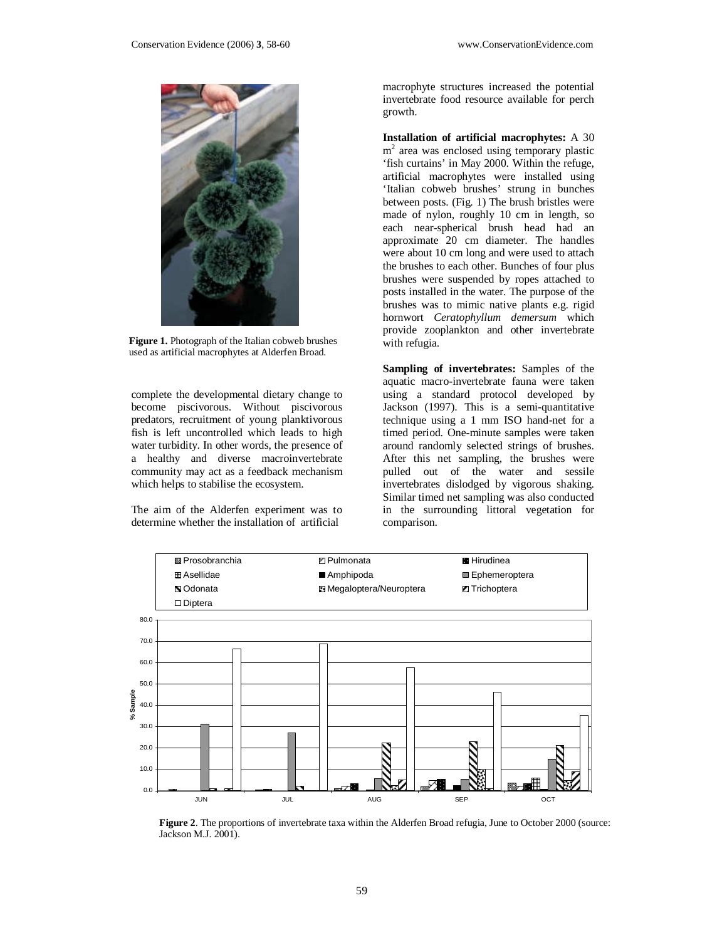

**Figure 1.** Photograph of the Italian cobweb brushes used as artificial macrophytes at Alderfen Broad.

complete the developmental dietary change to become piscivorous. Without piscivorous predators, recruitment of young planktivorous fish is left uncontrolled which leads to high water turbidity. In other words, the presence of a healthy and diverse macroinvertebrate community may act as a feedback mechanism which helps to stabilise the ecosystem.

The aim of the Alderfen experiment was to determine whether the installation of artificial

macrophyte structures increased the potential invertebrate food resource available for perch growth.

**Installation of artificial macrophytes:** A 30 m 2 area was enclosed using temporary plastic 'fish curtains' in May 2000. Within the refuge, artificial macrophytes were installed using 'Italian cobweb brushes' strung in bunches between posts. (Fig. 1) The brush bristles were made of nylon, roughly 10 cm in length, so each near-spherical brush head had an approximate 20 cm diameter. The handles were about 10 cm long and were used to attach the brushes to each other. Bunches of four plus brushes were suspended by ropes attached to posts installed in the water. The purpose of the brushes was to mimic native plants e.g. rigid hornwort *Ceratophyllum demersum* which provide zooplankton and other invertebrate with refugia.

**Sampling of invertebrates:** Samples of the aquatic macro-invertebrate fauna were taken using a standard protocol developed by Jackson (1997). This is a semi-quantitative technique using a 1 mm ISO hand-net for a timed period. One-minute samples were taken around randomly selected strings of brushes. After this net sampling, the brushes were pulled out of the water and sessile invertebrates dislodged by vigorous shaking. Similar timed net sampling was also conducted in the surrounding littoral vegetation for comparison.



**Figure 2**. The proportions of invertebrate taxa within the Alderfen Broad refugia, June to October 2000 (source: Jackson M.J. 2001).